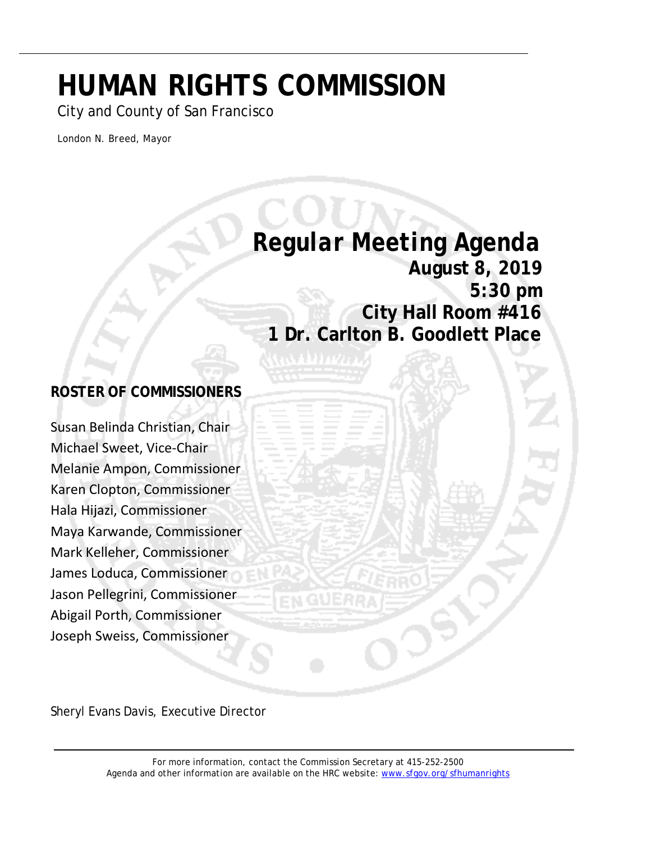# **HUMAN RIGHTS COMMISSION**

City and County of San Francisco

*London N. Breed, Mayor*

## *Regular Meeting Agenda*

 **August 8, 2019 5:30 pm City Hall Room #416 1 Dr. Carlton B. Goodlett Place**

## **ROSTER OF COMMISSIONERS**

Susan Belinda Christian, Chair Michael Sweet, Vice-Chair Melanie Ampon, Commissioner Karen Clopton, Commissioner Hala Hijazi, Commissioner Maya Karwande, Commissioner Mark Kelleher, Commissioner James Loduca, Commissioner Jason Pellegrini, Commissioner Abigail Porth, Commissioner Joseph Sweiss, Commissioner

Sheryl Evans Davis, Executive Director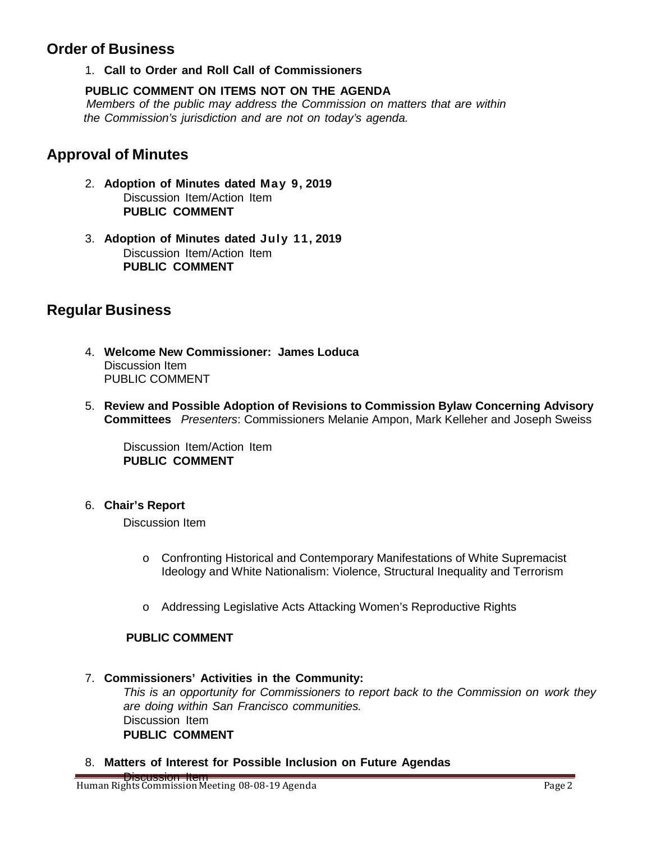## **Order of Business**

1. **Call to Order and Roll Call of Commissioners**

#### **PUBLIC COMMENT ON ITEMS NOT ON THE AGENDA**

 *Members of the public may address the Commission on matters that are within the Commission's jurisdiction and are not on today's agenda.*

## **Approval of Minutes**

- 2. **Adoption of Minutes dated May 9, 2019** Discussion Item/Action Item **PUBLIC COMMENT**
- 3. **Adoption of Minutes dated July 11, 2019** Discussion Item/Action Item **PUBLIC COMMENT**

## **Regular Business**

- 4. **Welcome New Commissioner: James Loduca** Discussion Item PUBLIC COMMENT
- 5. **Review and Possible Adoption of Revisions to Commission Bylaw Concerning Advisory Committees** *Presenters*: Commissioners Melanie Ampon, Mark Kelleher and Joseph Sweiss

Discussion Item/Action Item **PUBLIC COMMENT**

#### 6. **Chair's Report**

Discussion Item

- o Confronting Historical and Contemporary Manifestations of White Supremacist Ideology and White Nationalism: Violence, Structural Inequality and Terrorism
- o Addressing Legislative Acts Attacking Women's Reproductive Rights

#### **PUBLIC COMMENT**

7. **Commissioners' Activities in the Community:**

*This is an opportunity for Commissioners to report back to the Commission on work they are doing within San Francisco communities.* Discussion Item **PUBLIC COMMENT**

8. **Matters of Interest for Possible Inclusion on Future Agendas**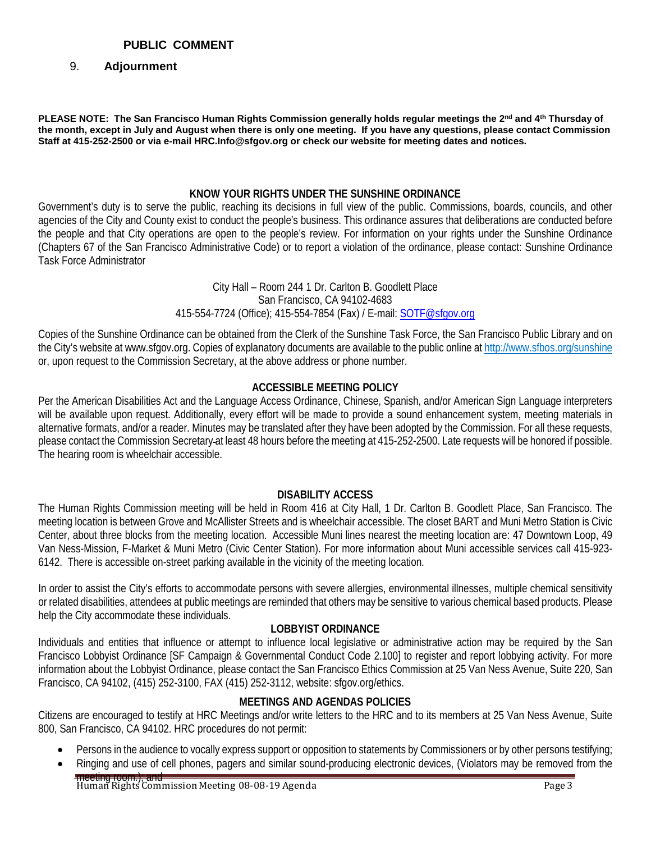#### 9. **Adjournment**

**PLEASE NOTE: The San Francisco Human Rights Commission generally holds regular meetings the 2nd and 4th Thursday of the month, except in July and August when there is only one meeting. If you have any questions, please contact Commission Staff at 415-252-2500 or via e-mail HRC.Info@sfgov.org or check our website for meeting dates and notices.**

#### **KNOW YOUR RIGHTS UNDER THE SUNSHINE ORDINANCE**

Government's duty is to serve the public, reaching its decisions in full view of the public. Commissions, boards, councils, and other agencies of the City and County exist to conduct the people's business. This ordinance assures that deliberations are conducted before the people and that City operations are open to the people's review. For information on your rights under the Sunshine Ordinance (Chapters 67 of the San Francisco Administrative Code) or to report a violation of the ordinance, please contact: Sunshine Ordinance Task Force Administrator

> City Hall – Room 244 1 Dr. Carlton B. Goodlett Place San Francisco, CA 94102-4683 415-554-7724 (Office); 415-554-7854 (Fax) / E-mail: [SOTF@sfgov.org](mailto:SOTF@sfgov.org)

Copies of the Sunshine Ordinance can be obtained from the Clerk of the Sunshine Task Force, the San Francisco Public Library and on the City's website at www.sfgov.org. Copies of explanatory documents are available to the public online a[t http://www.sfbos.org/sunshine](http://www.sfgov.org/sunshine) or, upon request to the Commission Secretary, at the above address or phone number.

#### **ACCESSIBLE MEETING POLICY**

Per the American Disabilities Act and the Language Access Ordinance, Chinese, Spanish, and/or American Sign Language interpreters will be available upon request. Additionally, every effort will be made to provide a sound enhancement system, meeting materials in alternative formats, and/or a reader. Minutes may be translated after they have been adopted by the Commission. For all these requests, please contact the Commission Secretary at least 48 hours before the meeting at 415-252-2500. Late requests will be honored if possible. The hearing room is wheelchair accessible.

#### **DISABILITY ACCESS**

The Human Rights Commission meeting will be held in Room 416 at City Hall, 1 Dr. Carlton B. Goodlett Place, San Francisco. The meeting location is between Grove and McAllister Streets and is wheelchair accessible. The closet BART and Muni Metro Station is Civic Center, about three blocks from the meeting location. Accessible Muni lines nearest the meeting location are: 47 Downtown Loop, 49 Van Ness-Mission, F-Market & Muni Metro (Civic Center Station). For more information about Muni accessible services call 415-923- 6142. There is accessible on-street parking available in the vicinity of the meeting location.

In order to assist the City's efforts to accommodate persons with severe allergies, environmental illnesses, multiple chemical sensitivity or related disabilities, attendees at public meetings are reminded that others may be sensitive to various chemical based products. Please help the City accommodate these individuals.

#### **LOBBYIST ORDINANCE**

Individuals and entities that influence or attempt to influence local legislative or administrative action may be required by the San Francisco Lobbyist Ordinance [SF Campaign & Governmental Conduct Code 2.100] to register and report lobbying activity. For more information about the Lobbyist Ordinance, please contact the San Francisco Ethics Commission at 25 Van Ness Avenue, Suite 220, San Francisco, CA 94102, (415) 252-3100, FAX (415) 252-3112, website: sfgov.org/ethics.

#### **MEETINGS AND AGENDAS POLICIES**

Citizens are encouraged to testify at HRC Meetings and/or write letters to the HRC and to its members at 25 Van Ness Avenue, Suite 800, San Francisco, CA 94102. HRC procedures do not permit:

- Persons in the audience to vocally express support or opposition to statements by Commissioners or by other persons testifying;
- Ringing and use of cell phones, pagers and similar sound-producing electronic devices, (Violators may be removed from the meeting room.); and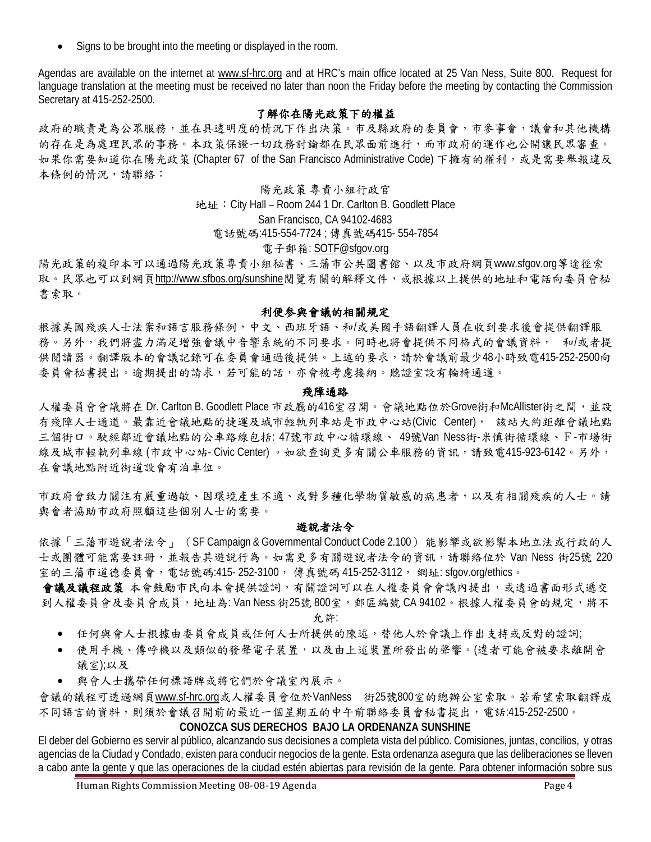• Signs to be brought into the meeting or displayed in the room.

Agendas are available on the internet at [www.sf-hrc.org](http://www.sf-hrc.org/) and at HRC's main office located at 25 Van Ness, Suite 800. Request for language translation at the meeting must be received no later than noon the Friday before the meeting by contacting the Commission Secretary at 415-252-2500.

#### 了解你在陽光政策下的權益

政府的職責是為公眾服務,並在具透明度的情況下作出決策。市及縣政府的委員會,市參事會,議會和其他機構 的存在是為處理民眾的事務。本政策保證一切政務討論都在民眾面前進行,而市政府的運作也公開讓民眾審查。 如果你需要知道你在陽光政策 (Chapter 67 of the San Francisco Administrative Code) 下擁有的權利,或是需要舉報違反 本條例的情況,請聯絡:

陽光政策 專責小組行政官

地址:City Hall – Room 244 1 Dr. Carlton B. Goodlett Place

San Francisco, CA 94102-4683

電話號碼:415-554-7724 ; 傳真號碼415- 554-7854

#### 電子郵箱: SOTF@sfgov.org

陽光政策的複印本可以通過陽光政策專責小組秘書、三藩市公共圖書館、以及市政府網頁www.sfgov.org等途徑索 取。民眾也可以到網頁[http://www.sfbos.org/sunshine](http://www.sfgov.org/sunshine)閱覽有關的解釋文件,或根據以上提供的地址和電話向委員會秘 書索取。

#### 利便参與會議的相關規定

根據美國殘疾人士法案和語言服務條例,中文、西班牙語、和/或美國手語翻譯人員在收到要求後會提供翻譯服 務。另外,我們將盡力滿足增強會議中音響系統的不同要求。同時也將會提供不同格式的會議資料, 和/或者提 供閱讀器。翻譯版本的會議記錄可在委員會通過後提供。上述的要求,請於會議前最少48小時致電415-252-2500向 委員會秘書提出。逾期提出的請求,若可能的話,亦會被考慮接納。聽證室設有輪椅通道。

#### 殘障通路

人權委員會會議將在 Dr. Carlton B. Goodlett Place 市政廳的416室召開。會議地點位於Grove街和McAllister街之間,並設 有殘障人士通道。最靠近會議地點的捷運及城市輕軌列車站是市政中心站(Civic Center), 該站大約距離會議地點 三個街口。駛經鄰近會議地點的公車路線包括: 47號市政中心循環線、 49號Van Ness街-米慎街循環線、F-市場街 線及城市輕軌列車線 (市政中心站- Civic Center) 。如欲查詢更多有關公車服務的資訊,請致電415-923-6142。另外, 在會議地點附近街道設會有泊車位。

市政府會致力關注有嚴重過敏、因環境產生不適、或對多種化學物質敏感的病患者,以及有相關殘疾的人士。請 與會者協助市政府照顧這些個別人士的需要。

#### 遊說者法令

依據「三藩市遊說者法令」 (SF Campaign & Governmental Conduct Code 2.100) 能影響或欲影響本地立法或行政的人 士或團體可能需要註冊,並報告其遊說行為。如需更多有關遊說者法令的資訊,請聯絡位於 Van Ness 街25號 220 室的三藩市道德委員會, 電話號碼:415-252-3100, 傳真號碼 415-252-3112, 網址: sfgov.org/ethics。

會議及議程政策本會鼓勵市民向本會提供證詞,有關證詞可以在人權委員會會議內提出,或透過書面形式遞交 到人權委員會及委員會成員,地址為: Van Ness 街25號 800室,郵區編號 CA 94102。根據人權委員會的規定,將不

- 允許:
- 任何與會人士根據由委員會成員或任何人士所提供的陳述,替他人於會議上作出支持或反對的證詞;
- 使用手機、傳呼機以及類似的發聲電子裝置,以及由上述裝置所發出的聲響。(違者可能會被要求離開會 議室);以及
- 與會人士攜帶任何標語牌或將它們於會議室內展示。

會議的議程可透過網頁www.sf-hrc.org或人權委員會位於VanNess 街25號800室的總辦公室索取。若希望索取翻譯成 不同語言的資料,則須於會議召開前的最近一個星期五的中午前聯絡委員會秘書提出,電話:415-252-2500。

#### **CONOZCA SUS DERECHOS BAJO LA ORDENANZA SUNSHINE**

El deber del Gobierno es servir al público, alcanzando sus decisiones a completa vista del público. Comisiones, juntas, concilios, y otras agencias de la Ciudad y Condado, existen para conducir negocios de la gente. Esta ordenanza asegura que las deliberaciones se lleven a cabo ante la gente y que las operaciones de la ciudad estén abiertas para revisión de la gente. Para obtener información sobre sus